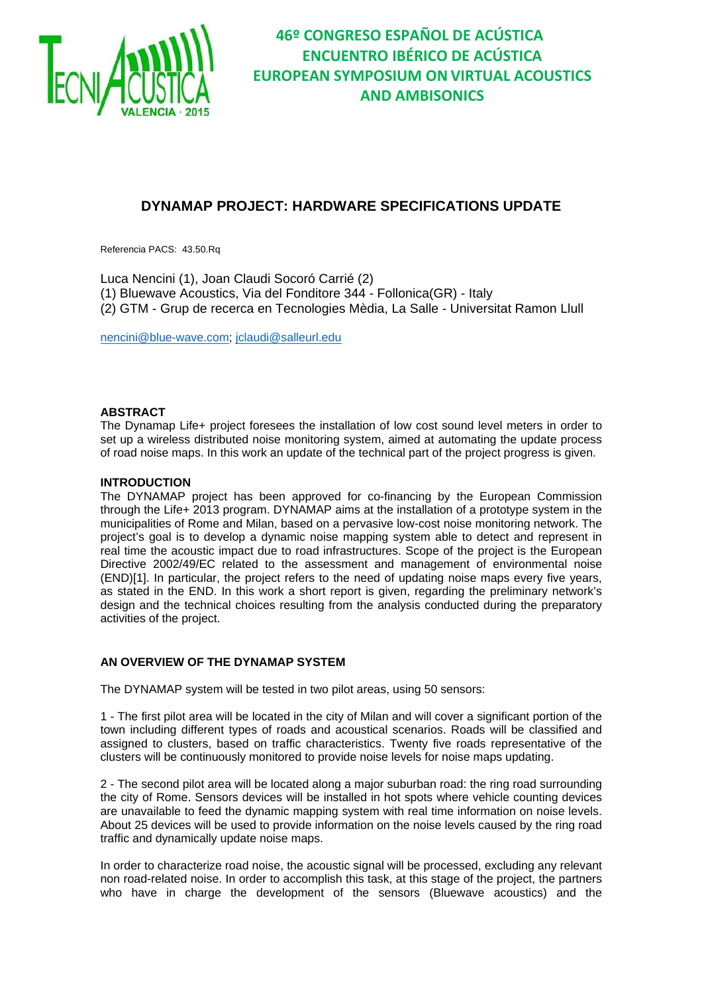

### **DYNAMAP PROJECT: HARDWARE SPECIFICATIONS UPDATE**

Referencia PACS: 43.50.Rq

Luca Nencini (1), Joan Claudi Socoró Carrié (2) (1) Bluewave Acoustics, Via del Fonditore 344 - Follonica(GR) - Italy (2) GTM - Grup de recerca en Tecnologies Mèdia, La Salle - Universitat Ramon Llull

nencini@blue-wave.com; jclaudi@salleurl.edu

#### **ABSTRACT**

The Dynamap Life+ project foresees the installation of low cost sound level meters in order to set up a wireless distributed noise monitoring system, aimed at automating the update process of road noise maps. In this work an update of the technical part of the project progress is given.

#### **INTRODUCTION**

The DYNAMAP project has been approved for co-financing by the European Commission through the Life+ 2013 program. DYNAMAP aims at the installation of a prototype system in the municipalities of Rome and Milan, based on a pervasive low-cost noise monitoring network. The project's goal is to develop a dynamic noise mapping system able to detect and represent in real time the acoustic impact due to road infrastructures. Scope of the project is the European Directive 2002/49/EC related to the assessment and management of environmental noise (END)[1]. In particular, the project refers to the need of updating noise maps every five years, as stated in the END. In this work a short report is given, regarding the preliminary network's design and the technical choices resulting from the analysis conducted during the preparatory activities of the project.

#### **AN OVERVIEW OF THE DYNAMAP SYSTEM**

The DYNAMAP system will be tested in two pilot areas, using 50 sensors:

1 - The first pilot area will be located in the city of Milan and will cover a significant portion of the town including different types of roads and acoustical scenarios. Roads will be classified and assigned to clusters, based on traffic characteristics. Twenty five roads representative of the clusters will be continuously monitored to provide noise levels for noise maps updating.

2 - The second pilot area will be located along a major suburban road: the ring road surrounding the city of Rome. Sensors devices will be installed in hot spots where vehicle counting devices are unavailable to feed the dynamic mapping system with real time information on noise levels. About 25 devices will be used to provide information on the noise levels caused by the ring road traffic and dynamically update noise maps.

In order to characterize road noise, the acoustic signal will be processed, excluding any relevant non road-related noise. In order to accomplish this task, at this stage of the project, the partners who have in charge the development of the sensors (Bluewave acoustics) and the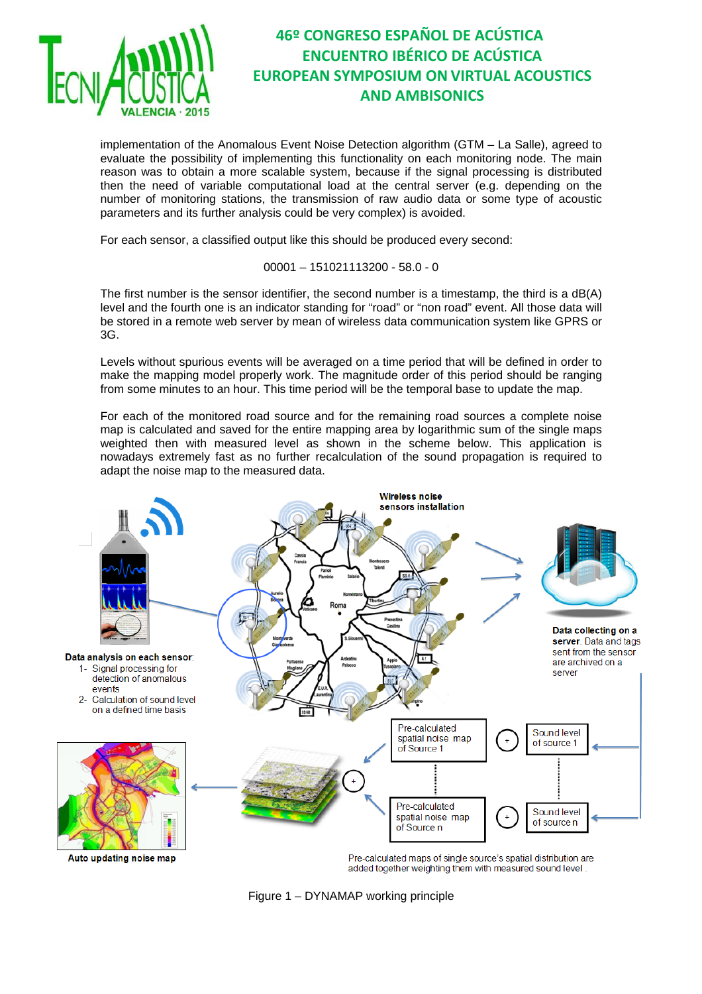

# **46º CONGRESO ESPAÑOL DE ACÚSTICA ENCUENTRO IBÉRICO DE ACÚSTICA EUROPEAN SYMPOSIUM ON VIRTUAL ACOUSTICS AND AMBISONICS**

implementation of the Anomalous Event Noise Detection algorithm (GTM – La Salle), agreed to evaluate the possibility of implementing this functionality on each monitoring node. The main reason was to obtain a more scalable system, because if the signal processing is distributed then the need of variable computational load at the central server (e.g. depending on the number of monitoring stations, the transmission of raw audio data or some type of acoustic parameters and its further analysis could be very complex) is avoided.

For each sensor, a classified output like this should be produced every second:

00001 – 151021113200 - 58.0 - 0

The first number is the sensor identifier, the second number is a timestamp, the third is a dB(A) level and the fourth one is an indicator standing for "road" or "non road" event. All those data will be stored in a remote web server by mean of wireless data communication system like GPRS or 3G.

Levels without spurious events will be averaged on a time period that will be defined in order to make the mapping model properly work. The magnitude order of this period should be ranging from some minutes to an hour. This time period will be the temporal base to update the map.

For each of the monitored road source and for the remaining road sources a complete noise map is calculated and saved for the entire mapping area by logarithmic sum of the single maps weighted then with measured level as shown in the scheme below. This application is nowadays extremely fast as no further recalculation of the sound propagation is required to adapt the noise map to the measured data.



added together weighting them with measured sound level.

Figure 1 – DYNAMAP working principle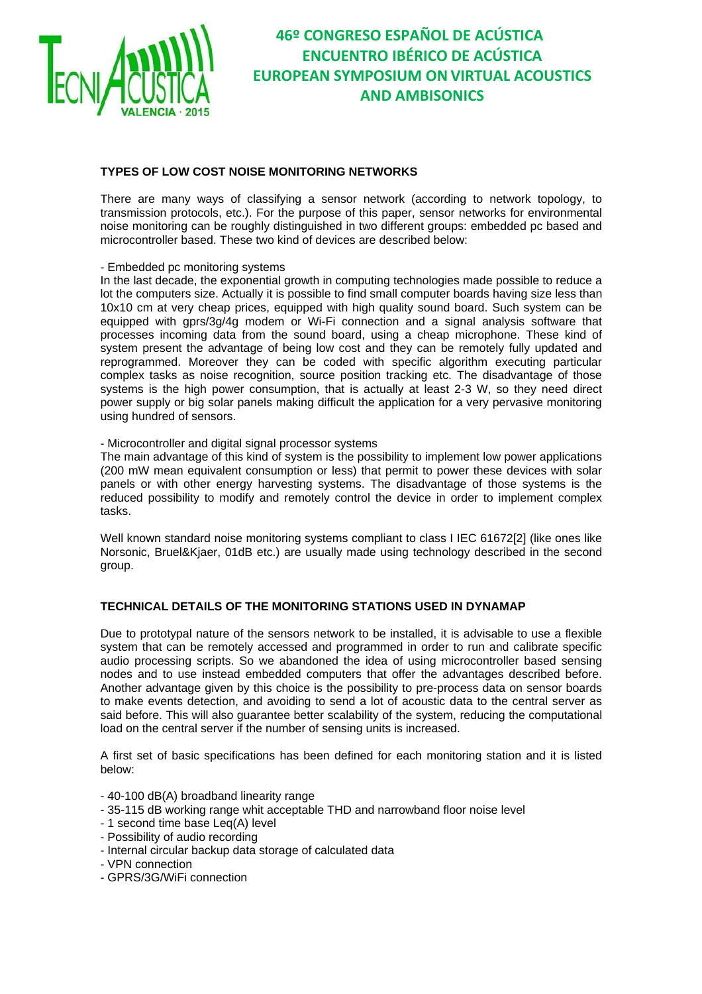

# **46º CONGRESO ESPAÑOL DE ACÚSTICA ENCUENTRO IBÉRICO DE ACÚSTICA EUROPEAN SYMPOSIUM ON VIRTUAL ACOUSTICS AND AMBISONICS**

### **TYPES OF LOW COST NOISE MONITORING NETWORKS**

There are many ways of classifying a sensor network (according to network topology, to transmission protocols, etc.). For the purpose of this paper, sensor networks for environmental noise monitoring can be roughly distinguished in two different groups: embedded pc based and microcontroller based. These two kind of devices are described below:

#### - Embedded pc monitoring systems

In the last decade, the exponential growth in computing technologies made possible to reduce a lot the computers size. Actually it is possible to find small computer boards having size less than 10x10 cm at very cheap prices, equipped with high quality sound board. Such system can be equipped with gprs/3g/4g modem or Wi-Fi connection and a signal analysis software that processes incoming data from the sound board, using a cheap microphone. These kind of system present the advantage of being low cost and they can be remotely fully updated and reprogrammed. Moreover they can be coded with specific algorithm executing particular complex tasks as noise recognition, source position tracking etc. The disadvantage of those systems is the high power consumption, that is actually at least 2-3 W, so they need direct power supply or big solar panels making difficult the application for a very pervasive monitoring using hundred of sensors.

#### - Microcontroller and digital signal processor systems

The main advantage of this kind of system is the possibility to implement low power applications (200 mW mean equivalent consumption or less) that permit to power these devices with solar panels or with other energy harvesting systems. The disadvantage of those systems is the reduced possibility to modify and remotely control the device in order to implement complex tasks.

Well known standard noise monitoring systems compliant to class I IEC 61672[2] (like ones like Norsonic, Bruel&Kjaer, 01dB etc.) are usually made using technology described in the second group.

#### **TECHNICAL DETAILS OF THE MONITORING STATIONS USED IN DYNAMAP**

Due to prototypal nature of the sensors network to be installed, it is advisable to use a flexible system that can be remotely accessed and programmed in order to run and calibrate specific audio processing scripts. So we abandoned the idea of using microcontroller based sensing nodes and to use instead embedded computers that offer the advantages described before. Another advantage given by this choice is the possibility to pre-process data on sensor boards to make events detection, and avoiding to send a lot of acoustic data to the central server as said before. This will also guarantee better scalability of the system, reducing the computational load on the central server if the number of sensing units is increased.

A first set of basic specifications has been defined for each monitoring station and it is listed below:

- 40-100 dB(A) broadband linearity range
- 35-115 dB working range whit acceptable THD and narrowband floor noise level
- 1 second time base Leq(A) level
- Possibility of audio recording
- Internal circular backup data storage of calculated data
- VPN connection
- GPRS/3G/WiFi connection